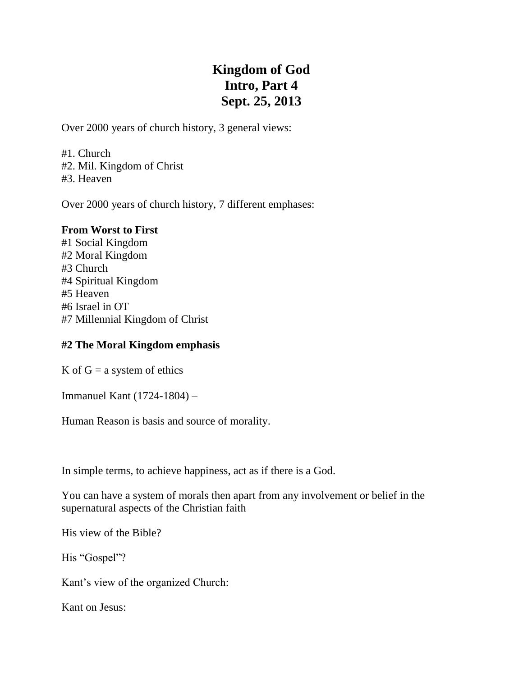# **Kingdom of God Intro, Part 4 Sept. 25, 2013**

Over 2000 years of church history, 3 general views:

#1. Church #2. Mil. Kingdom of Christ #3. Heaven

Over 2000 years of church history, 7 different emphases:

#### **From Worst to First**

#1 Social Kingdom #2 Moral Kingdom #3 Church #4 Spiritual Kingdom #5 Heaven #6 Israel in OT #7 Millennial Kingdom of Christ

### **#2 The Moral Kingdom emphasis**

K of  $G = a$  system of ethics

Immanuel Kant (1724-1804) –

Human Reason is basis and source of morality.

In simple terms, to achieve happiness, act as if there is a God.

You can have a system of morals then apart from any involvement or belief in the supernatural aspects of the Christian faith

His view of the Bible?

His "Gospel"?

Kant's view of the organized Church:

Kant on Jesus: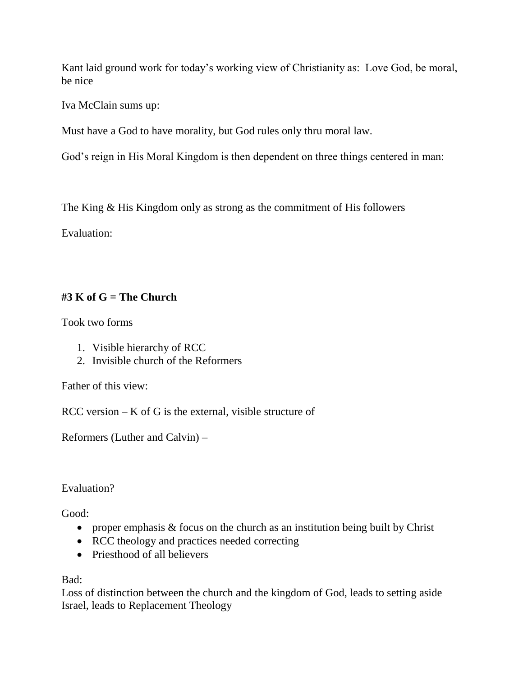Kant laid ground work for today's working view of Christianity as: Love God, be moral, be nice

Iva McClain sums up:

Must have a God to have morality, but God rules only thru moral law.

God's reign in His Moral Kingdom is then dependent on three things centered in man:

The King & His Kingdom only as strong as the commitment of His followers

Evaluation:

## **#3 K of G = The Church**

Took two forms

- 1. Visible hierarchy of RCC
- 2. Invisible church of the Reformers

Father of this view:

 $RCC$  version  $-K$  of G is the external, visible structure of

Reformers (Luther and Calvin) –

Evaluation?

Good:

- proper emphasis  $&$  focus on the church as an institution being built by Christ
- RCC theology and practices needed correcting
- Priesthood of all believers

Bad:

Loss of distinction between the church and the kingdom of God, leads to setting aside Israel, leads to Replacement Theology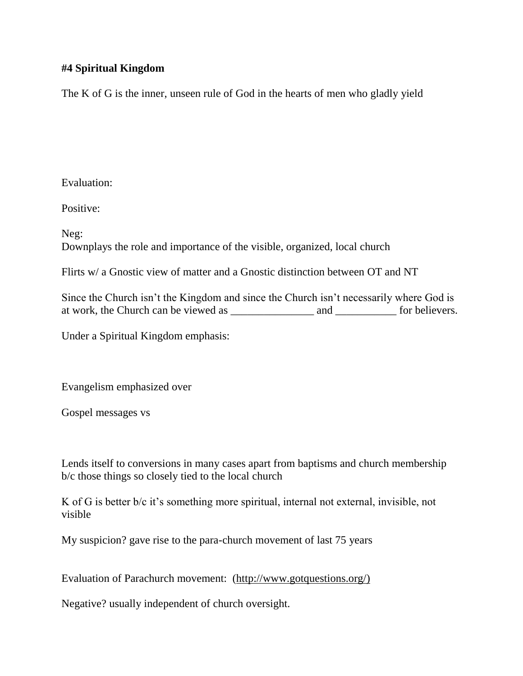## **#4 Spiritual Kingdom**

The K of G is the inner, unseen rule of God in the hearts of men who gladly yield

Evaluation:

Positive:

Neg: Downplays the role and importance of the visible, organized, local church

Flirts w/ a Gnostic view of matter and a Gnostic distinction between OT and NT

Since the Church isn't the Kingdom and since the Church isn't necessarily where God is at work, the Church can be viewed as \_\_\_\_\_\_\_\_\_\_\_\_\_\_\_ and \_\_\_\_\_\_\_\_\_\_\_ for believers.

Under a Spiritual Kingdom emphasis:

Evangelism emphasized over

Gospel messages vs

Lends itself to conversions in many cases apart from baptisms and church membership b/c those things so closely tied to the local church

K of G is better b/c it's something more spiritual, internal not external, invisible, not visible

My suspicion? gave rise to the para-church movement of last 75 years

Evaluation of Parachurch movement: (http://www.gotquestions.org/)

Negative? usually independent of church oversight.